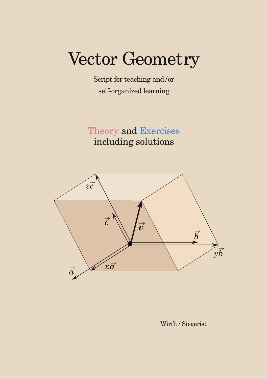# Vector Geometry

Script for teaching and /or self-organized learning

Theory and Exercises including solutions



Wirth / Siegerist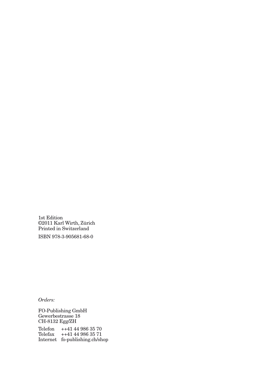1st Edition ©2011 Karl Wirth, Zürich Printed in Switzerland

ISBN 978-3-905681-68-0

*Orders:*

FO-Publishing GmbH Gewerbestrasse 18 CH-8132 Egg/ZH

Telefon ++41 44 986 35 70 Telefax ++41 44 986 35 71 Internet fo-publishing.ch/shop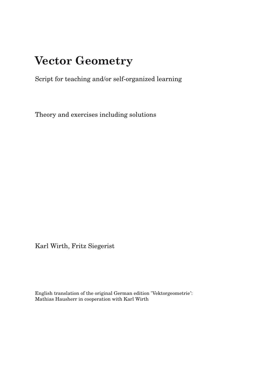# **VECTOR GEOMETRY Vector Geometry**

Script for teaching and/or self-organized learning

Theory and exercises including solutions

Karl Wirth, Fritz Siegerist

English translation of the original German edition 'Vektorgeometrie': Mathias Hausherr in cooperation with Karl Wirth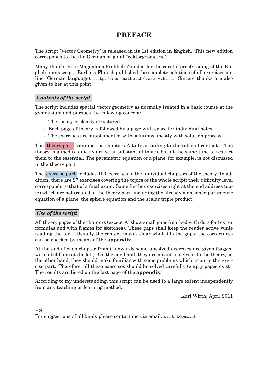### **PREFACE**

The script 'Vector Geometry' is released in its 1st edition in English. This new edition corresponds to the the German original 'Vektorgeometrie'.

Many thanks go to Magdalena Fröhlich-Zbinden for the careful proofreading of the English manuscript. Barbara Flütsch published the complete solutions of all exercises online (German language): http://sos-mathe.ch/verz\_v.html. Sincere thanks are also given to her at this point.

#### *Contents of the script*

The script includes spacial vector geometry as normally treated in a basic course at the gymnasium and pursues the following concept:

- The theory is clearly structured.
- Each page of theory is followed by a page with space for individual notes.
- The exercises are supplemented with solutions, mostly with solution process.

The theory part contains the chapters A to G according to the table of contents. The theory is aimed to quickly arrive at substantial topics, but at the same time to restrict them to the essential. The parametric equation of a plane, for example, is not discussed in the theory part.

The exercise part includes 100 exercises to the individual chapters of the theory. In addition, there are 27 exercises covering the topics of the whole script; their difficulty level corresponds to that of a final exam. Some further exercises right at the end address topics which are not treated in the theory part, including the already mentioned parametric equation of a plane, the sphere equation and the scalar triple product.

#### *Use of the script*

All theory pages of the chapters (except A) show small gaps (marked with dots for text or formulas and with frames for sketches). These gaps shall keep the reader active while reading the text. Usually the context makes clear what fills the gaps; the correctness can be checked by means of the **appendix**.

At the end of each chapter from C onwards some unsolved exercises are given (tagged with a bold line at the left). On the one hand, they are meant to delve into the theory, on the other hand, they should make familiar with some problems which occur in the exercise part. Therefore, all these exercises should be solved carefully (empty pages exist). The results are listed on the last page of the **appendix**.

According to my understanding, this script can be used to a large extent independently from any teaching or learning method.

Karl Wirth, April 2011

P.S. For suggestions of all kinds please contact me via email: wirthk@gmx.ch